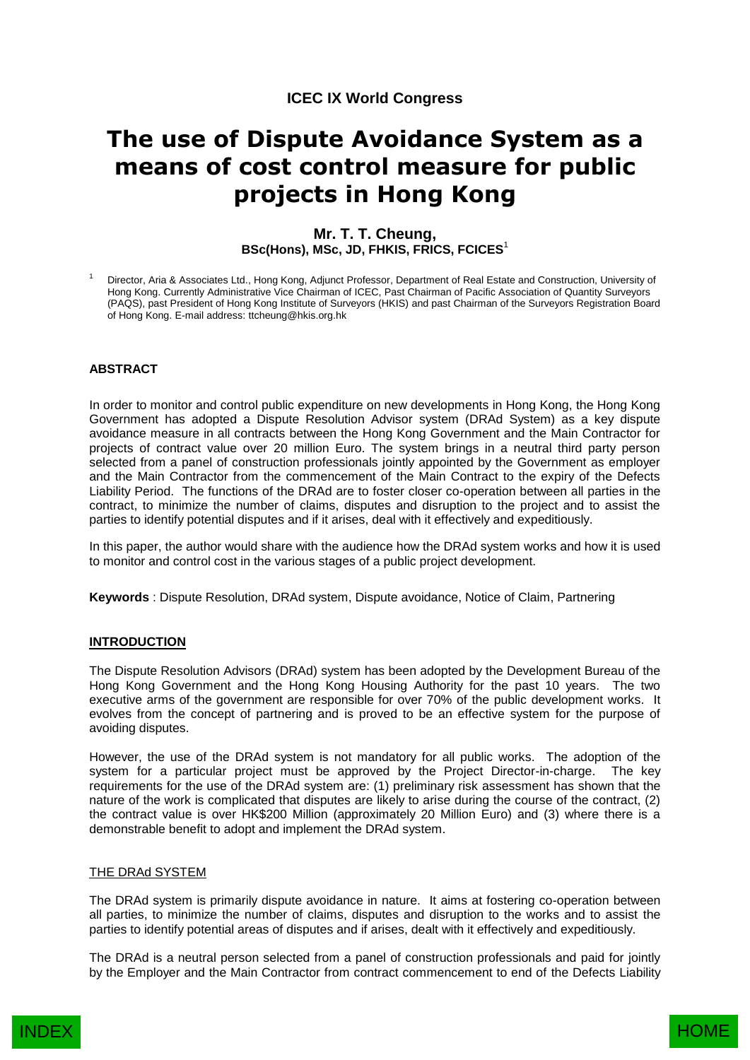# **ICEC IX World Congress**

# **The use of Dispute Avoidance System as a means of cost control measure for public projects in Hong Kong**

# **Mr. T. T. Cheung, BSc(Hons), MSc, JD, FHKIS, FRICS, FCICES**<sup>1</sup>

<sup>1</sup> Director, Aria & Associates Ltd., Hong Kong, Adjunct Professor, Department of Real Estate and Construction, University of Hong Kong. Currently Administrative Vice Chairman of ICEC, Past Chairman of Pacific Association of Quantity Surveyors (PAQS), past President of Hong Kong Institute of Surveyors (HKIS) and past Chairman of the Surveyors Registration Board of Hong Kong. E-mail address: ttcheung@hkis.org.hk

## **ABSTRACT**

In order to monitor and control public expenditure on new developments in Hong Kong, the Hong Kong Government has adopted a Dispute Resolution Advisor system (DRAd System) as a key dispute avoidance measure in all contracts between the Hong Kong Government and the Main Contractor for projects of contract value over 20 million Euro. The system brings in a neutral third party person selected from a panel of construction professionals jointly appointed by the Government as employer and the Main Contractor from the commencement of the Main Contract to the expiry of the Defects Liability Period. The functions of the DRAd are to foster closer co-operation between all parties in the contract, to minimize the number of claims, disputes and disruption to the project and to assist the parties to identify potential disputes and if it arises, deal with it effectively and expeditiously.

In this paper, the author would share with the audience how the DRAd system works and how it is used to monitor and control cost in the various stages of a public project development.

**Keywords** : Dispute Resolution, DRAd system, Dispute avoidance, Notice of Claim, Partnering

#### **INTRODUCTION**

The Dispute Resolution Advisors (DRAd) system has been adopted by the Development Bureau of the Hong Kong Government and the Hong Kong Housing Authority for the past 10 years. The two executive arms of the government are responsible for over 70% of the public development works. It evolves from the concept of partnering and is proved to be an effective system for the purpose of avoiding disputes.

However, the use of the DRAd system is not mandatory for all public works. The adoption of the system for a particular project must be approved by the Project Director-in-charge. The key requirements for the use of the DRAd system are: (1) preliminary risk assessment has shown that the nature of the work is complicated that disputes are likely to arise during the course of the contract, (2) the contract value is over HK\$200 Million (approximately 20 Million Euro) and (3) where there is a demonstrable benefit to adopt and implement the DRAd system.

#### THE DRAd SYSTEM

The DRAd system is primarily dispute avoidance in nature. It aims at fostering co-operation between all parties, to minimize the number of claims, disputes and disruption to the works and to assist the parties to identify potential areas of disputes and if arises, dealt with it effectively and expeditiously.

The DRAd is a neutral person selected from a panel of construction professionals and paid for jointly by the Employer and the Main Contractor from contract commencement to end of the Defects Liability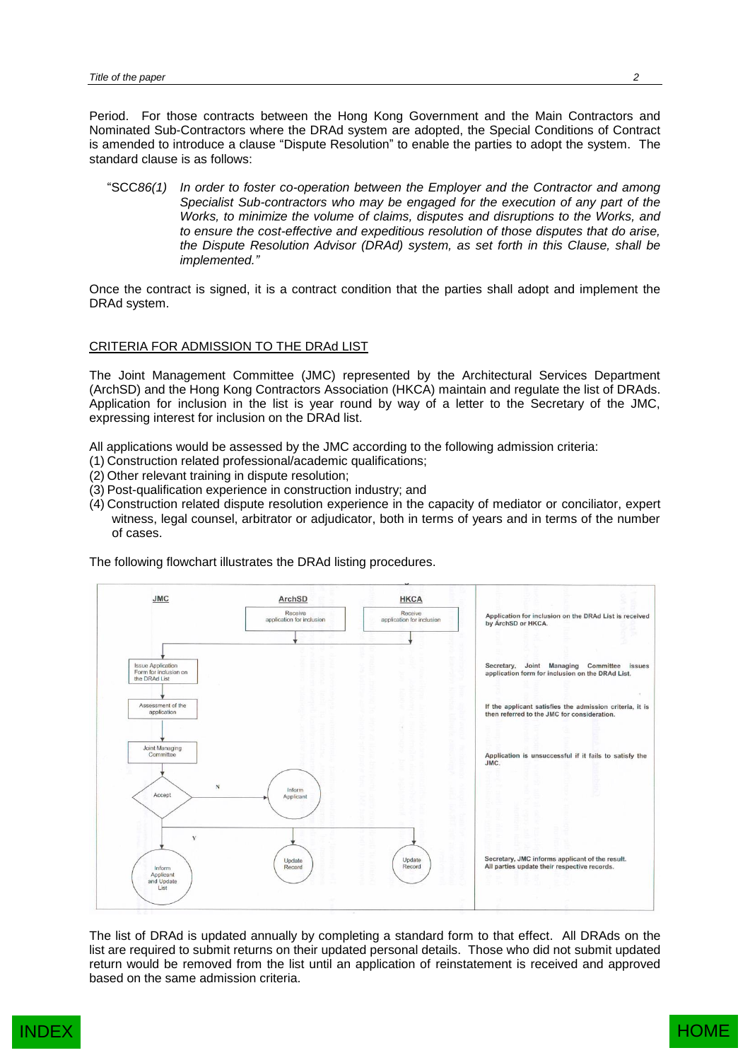Period. For those contracts between the Hong Kong Government and the Main Contractors and Nominated Sub-Contractors where the DRAd system are adopted, the Special Conditions of Contract is amended to introduce a clause "Dispute Resolution" to enable the parties to adopt the system. The standard clause is as follows:

"SCC*86(1) In order to foster co-operation between the Employer and the Contractor and among Specialist Sub-contractors who may be engaged for the execution of any part of the Works, to minimize the volume of claims, disputes and disruptions to the Works, and to ensure the cost-effective and expeditious resolution of those disputes that do arise, the Dispute Resolution Advisor (DRAd) system, as set forth in this Clause, shall be implemented."*

Once the contract is signed, it is a contract condition that the parties shall adopt and implement the DRAd system.

#### CRITERIA FOR ADMISSION TO THE DRAd LIST

The Joint Management Committee (JMC) represented by the Architectural Services Department (ArchSD) and the Hong Kong Contractors Association (HKCA) maintain and regulate the list of DRAds. Application for inclusion in the list is year round by way of a letter to the Secretary of the JMC, expressing interest for inclusion on the DRAd list.

All applications would be assessed by the JMC according to the following admission criteria:

- (1) Construction related professional/academic qualifications;
- (2) Other relevant training in dispute resolution;
- (3) Post-qualification experience in construction industry; and
- (4) Construction related dispute resolution experience in the capacity of mediator or conciliator, expert witness, legal counsel, arbitrator or adjudicator, both in terms of years and in terms of the number of cases.

The following flowchart illustrates the DRAd listing procedures.



The list of DRAd is updated annually by completing a standard form to that effect. All DRAds on the list are required to submit returns on their updated personal details. Those who did not submit updated return would be removed from the list until an application of reinstatement is received and approved based on the same admission criteria.

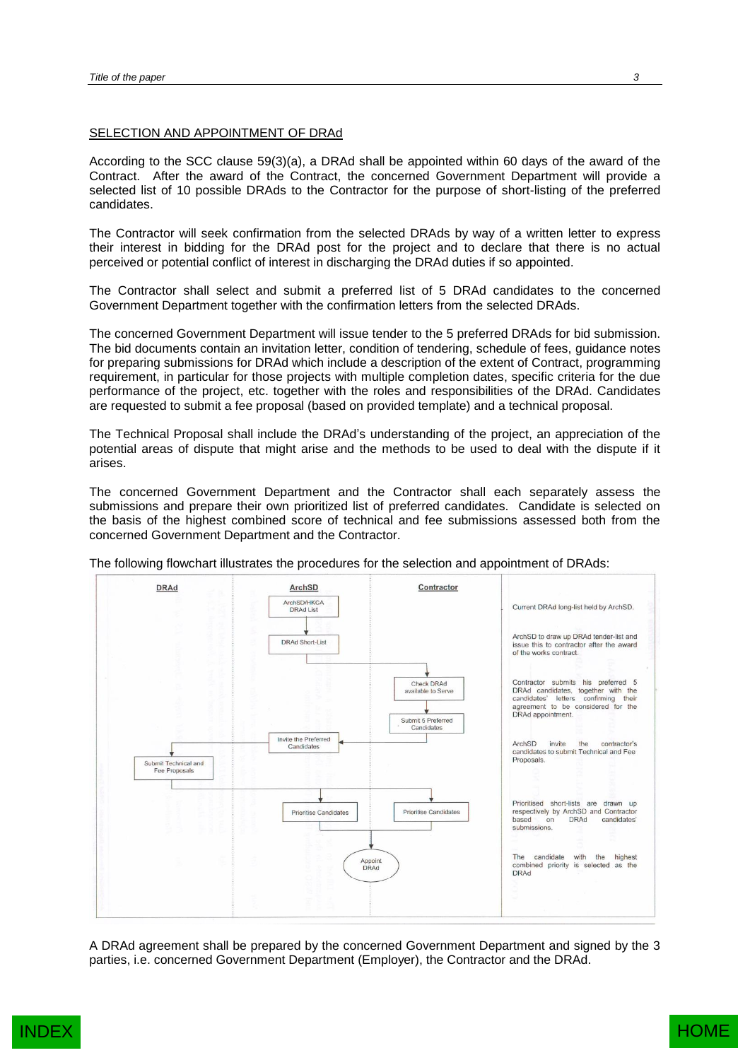#### SELECTION AND APPOINTMENT OF DRAd

According to the SCC clause 59(3)(a), a DRAd shall be appointed within 60 days of the award of the Contract. After the award of the Contract, the concerned Government Department will provide a selected list of 10 possible DRAds to the Contractor for the purpose of short-listing of the preferred candidates.

The Contractor will seek confirmation from the selected DRAds by way of a written letter to express their interest in bidding for the DRAd post for the project and to declare that there is no actual perceived or potential conflict of interest in discharging the DRAd duties if so appointed.

The Contractor shall select and submit a preferred list of 5 DRAd candidates to the concerned Government Department together with the confirmation letters from the selected DRAds.

The concerned Government Department will issue tender to the 5 preferred DRAds for bid submission. The bid documents contain an invitation letter, condition of tendering, schedule of fees, guidance notes for preparing submissions for DRAd which include a description of the extent of Contract, programming requirement, in particular for those projects with multiple completion dates, specific criteria for the due performance of the project, etc. together with the roles and responsibilities of the DRAd. Candidates are requested to submit a fee proposal (based on provided template) and a technical proposal.

The Technical Proposal shall include the DRAd's understanding of the project, an appreciation of the potential areas of dispute that might arise and the methods to be used to deal with the dispute if it arises.

The concerned Government Department and the Contractor shall each separately assess the submissions and prepare their own prioritized list of preferred candidates. Candidate is selected on the basis of the highest combined score of technical and fee submissions assessed both from the concerned Government Department and the Contractor.



The following flowchart illustrates the procedures for the selection and appointment of DRAds:

A DRAd agreement shall be prepared by the concerned Government Department and signed by the 3 parties, i.e. concerned Government Department (Employer), the Contractor and the DRAd.

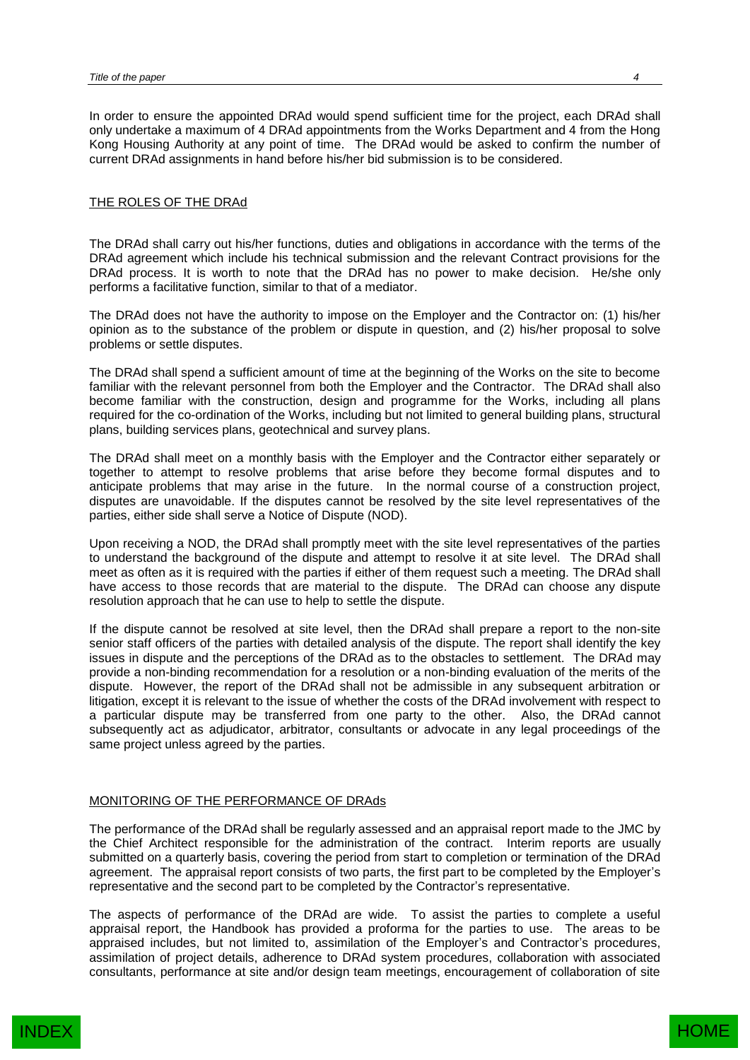In order to ensure the appointed DRAd would spend sufficient time for the project, each DRAd shall only undertake a maximum of 4 DRAd appointments from the Works Department and 4 from the Hong Kong Housing Authority at any point of time. The DRAd would be asked to confirm the number of current DRAd assignments in hand before his/her bid submission is to be considered.

## THE ROLES OF THE DRAd

The DRAd shall carry out his/her functions, duties and obligations in accordance with the terms of the DRAd agreement which include his technical submission and the relevant Contract provisions for the DRAd process. It is worth to note that the DRAd has no power to make decision. He/she only performs a facilitative function, similar to that of a mediator.

The DRAd does not have the authority to impose on the Employer and the Contractor on: (1) his/her opinion as to the substance of the problem or dispute in question, and (2) his/her proposal to solve problems or settle disputes.

The DRAd shall spend a sufficient amount of time at the beginning of the Works on the site to become familiar with the relevant personnel from both the Employer and the Contractor. The DRAd shall also become familiar with the construction, design and programme for the Works, including all plans required for the co-ordination of the Works, including but not limited to general building plans, structural plans, building services plans, geotechnical and survey plans.

The DRAd shall meet on a monthly basis with the Employer and the Contractor either separately or together to attempt to resolve problems that arise before they become formal disputes and to anticipate problems that may arise in the future. In the normal course of a construction project, disputes are unavoidable. If the disputes cannot be resolved by the site level representatives of the parties, either side shall serve a Notice of Dispute (NOD).

Upon receiving a NOD, the DRAd shall promptly meet with the site level representatives of the parties to understand the background of the dispute and attempt to resolve it at site level. The DRAd shall meet as often as it is required with the parties if either of them request such a meeting. The DRAd shall have access to those records that are material to the dispute. The DRAd can choose any dispute resolution approach that he can use to help to settle the dispute.

If the dispute cannot be resolved at site level, then the DRAd shall prepare a report to the non-site senior staff officers of the parties with detailed analysis of the dispute. The report shall identify the key issues in dispute and the perceptions of the DRAd as to the obstacles to settlement. The DRAd may provide a non-binding recommendation for a resolution or a non-binding evaluation of the merits of the dispute. However, the report of the DRAd shall not be admissible in any subsequent arbitration or litigation, except it is relevant to the issue of whether the costs of the DRAd involvement with respect to a particular dispute may be transferred from one party to the other. Also, the DRAd cannot subsequently act as adjudicator, arbitrator, consultants or advocate in any legal proceedings of the same project unless agreed by the parties.

## MONITORING OF THE PERFORMANCE OF DRAds

The performance of the DRAd shall be regularly assessed and an appraisal report made to the JMC by the Chief Architect responsible for the administration of the contract. Interim reports are usually submitted on a quarterly basis, covering the period from start to completion or termination of the DRAd agreement. The appraisal report consists of two parts, the first part to be completed by the Employer's representative and the second part to be completed by the Contractor's representative.

The aspects of performance of the DRAd are wide. To assist the parties to complete a useful appraisal report, the Handbook has provided a proforma for the parties to use. The areas to be appraised includes, but not limited to, assimilation of the Employer's and Contractor's procedures, assimilation of project details, adherence to DRAd system procedures, collaboration with associated consultants, performance at site and/or design team meetings, encouragement of collaboration of site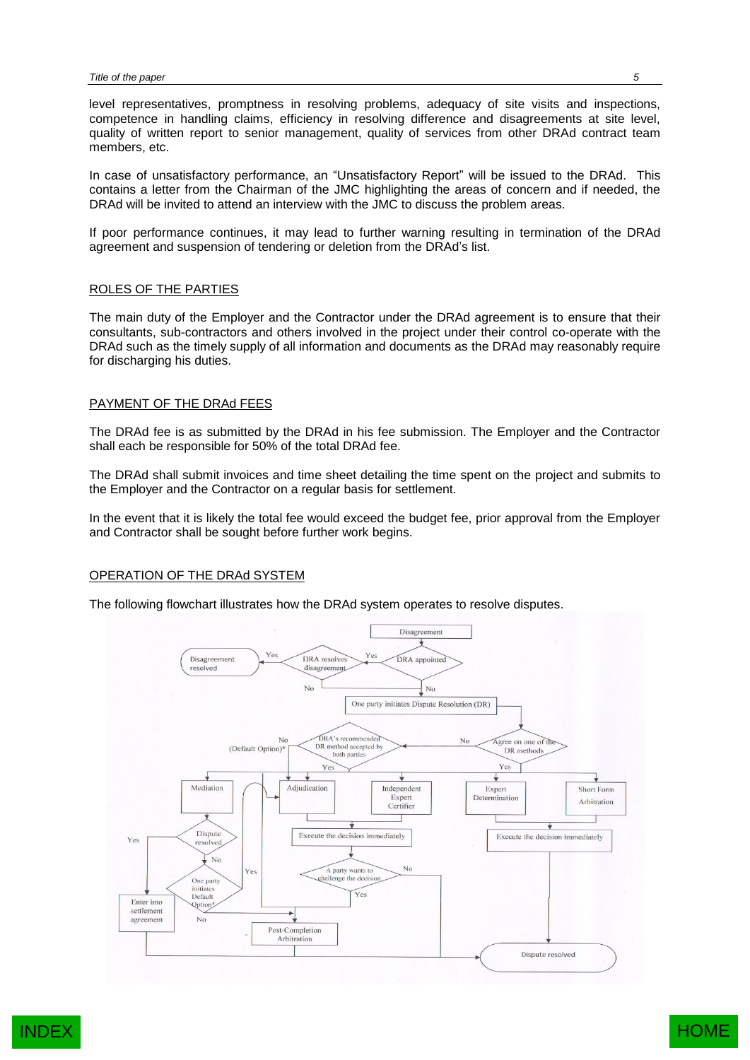level representatives, promptness in resolving problems, adequacy of site visits and inspections, competence in handling claims, efficiency in resolving difference and disagreements at site level, quality of written report to senior management, quality of services from other DRAd contract team members, etc.

In case of unsatisfactory performance, an "Unsatisfactory Report" will be issued to the DRAd. This contains a letter from the Chairman of the JMC highlighting the areas of concern and if needed, the DRAd will be invited to attend an interview with the JMC to discuss the problem areas.

If poor performance continues, it may lead to further warning resulting in termination of the DRAd agreement and suspension of tendering or deletion from the DRAd's list.

## ROLES OF THE PARTIES

The main duty of the Employer and the Contractor under the DRAd agreement is to ensure that their consultants, sub-contractors and others involved in the project under their control co-operate with the DRAd such as the timely supply of all information and documents as the DRAd may reasonably require for discharging his duties.

## PAYMENT OF THE DRAd FEES

The DRAd fee is as submitted by the DRAd in his fee submission. The Employer and the Contractor shall each be responsible for 50% of the total DRAd fee.

The DRAd shall submit invoices and time sheet detailing the time spent on the project and submits to the Employer and the Contractor on a regular basis for settlement.

In the event that it is likely the total fee would exceed the budget fee, prior approval from the Employer and Contractor shall be sought before further work begins.

## OPERATION OF THE DRAd SYSTEM

The following flowchart illustrates how the DRAd system operates to resolve disputes.